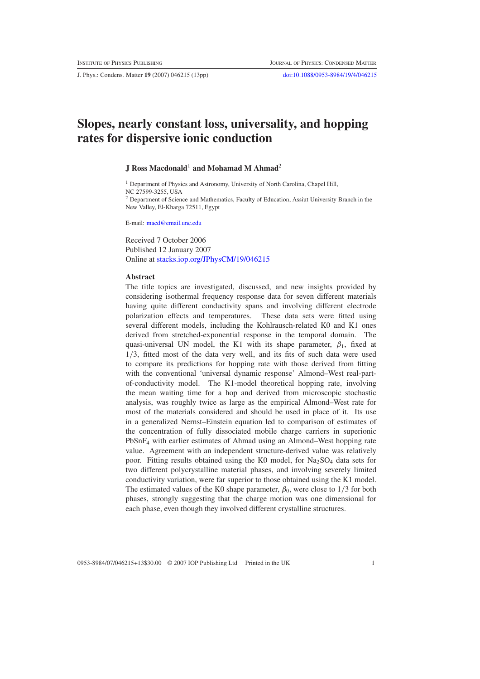J. Phys.: Condens. Matter **19** (2007) 046215 (13pp) [doi:10.1088/0953-8984/19/4/046215](http://dx.doi.org/10.1088/0953-8984/19/4/046215)

# **Slopes, nearly constant loss, universality, and hopping rates for dispersive ionic conduction**

## **J Ross Macdonald**<sup>1</sup> **and Mohamad M Ahmad**<sup>2</sup>

<sup>1</sup> Department of Physics and Astronomy, University of North Carolina, Chapel Hill, NC 27599-3255, USA <sup>2</sup> Department of Science and Mathematics, Faculty of Education, Assiut University Branch in the New Valley, El-Kharga 72511, Egypt

E-mail: [macd@email.unc.edu](mailto:macd@email.unc.edu)

Received 7 October 2006 Published 12 January 2007 Online at [stacks.iop.org/JPhysCM/19/046215](http://stacks.iop.org/JPhysCM/19/046215)

#### **Abstract**

The title topics are investigated, discussed, and new insights provided by considering isothermal frequency response data for seven different materials having quite different conductivity spans and involving different electrode polarization effects and temperatures. These data sets were fitted using several different models, including the Kohlrausch-related K0 and K1 ones derived from stretched-exponential response in the temporal domain. The quasi-universal UN model, the K1 with its shape parameter,  $\beta_1$ , fixed at 1/3, fitted most of the data very well, and its fits of such data were used to compare its predictions for hopping rate with those derived from fitting with the conventional 'universal dynamic response' Almond–West real-partof-conductivity model. The K1-model theoretical hopping rate, involving the mean waiting time for a hop and derived from microscopic stochastic analysis, was roughly twice as large as the empirical Almond–West rate for most of the materials considered and should be used in place of it. Its use in a generalized Nernst–Einstein equation led to comparison of estimates of the concentration of fully dissociated mobile charge carriers in superionic PbSnF4 with earlier estimates of Ahmad using an Almond–West hopping rate value. Agreement with an independent structure-derived value was relatively poor. Fitting results obtained using the K0 model, for  $Na<sub>2</sub>SO<sub>4</sub>$  data sets for two different polycrystalline material phases, and involving severely limited conductivity variation, were far superior to those obtained using the K1 model. The estimated values of the K0 shape parameter,  $\beta_0$ , were close to 1/3 for both phases, strongly suggesting that the charge motion was one dimensional for each phase, even though they involved different crystalline structures.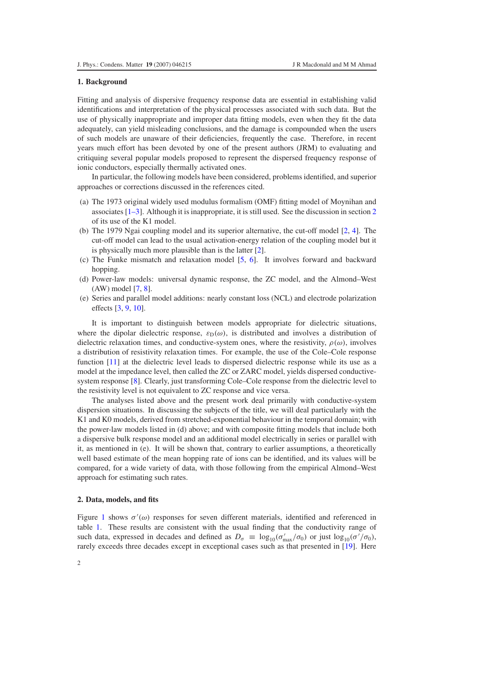## **1. Background**

Fitting and analysis of dispersive frequency response data are essential in establishing valid identifications and interpretation of the physical processes associated with such data. But the use of physically inappropriate and improper data fitting models, even when they fit the data adequately, can yield misleading conclusions, and the damage is compounded when the users of such models are unaware of their deficiencies, frequently the case. Therefore, in recent years much effort has been devoted by one of the present authors (JRM) to evaluating and critiquing several popular models proposed to represent the dispersed frequency response of ionic conductors, especially thermally activated ones.

In particular, the following models have been considered, problems identified, and superior approaches or corrections discussed in the references cited.

- (a) The 1973 original widely used modulus formalism (OMF) fitting model of Moynihan and associates [\[1–3\]](#page-11-0). Although it is inappropriate, it is still used. See the discussion in section [2](#page-1-0) of its use of the K1 model.
- (b) The 1979 Ngai coupling model and its superior alternative, the cut-off model [\[2,](#page-11-1) [4\]](#page-12-0). The cut-off model can lead to the usual activation-energy relation of the coupling model but it is physically much more plausible than is the latter [\[2\]](#page-11-1).
- (c) The Funke mismatch and relaxation model [\[5,](#page-12-1) [6\]](#page-12-2). It involves forward and backward hopping.
- (d) Power-law models: universal dynamic response, the ZC model, and the Almond–West (AW) model [\[7,](#page-12-3) [8\]](#page-12-4).
- (e) Series and parallel model additions: nearly constant loss (NCL) and electrode polarization effects [\[3,](#page-12-5) [9,](#page-12-6) [10\]](#page-12-7).

It is important to distinguish between models appropriate for dielectric situations, where the dipolar dielectric response,  $\varepsilon_D(\omega)$ , is distributed and involves a distribution of dielectric relaxation times, and conductive-system ones, where the resistivity,  $\rho(\omega)$ , involves a distribution of resistivity relaxation times. For example, the use of the Cole–Cole response function [\[11\]](#page-12-8) at the dielectric level leads to dispersed dielectric response while its use as a model at the impedance level, then called the ZC or ZARC model, yields dispersed conductivesystem response [\[8\]](#page-12-4). Clearly, just transforming Cole–Cole response from the dielectric level to the resistivity level is not equivalent to ZC response and vice versa.

<span id="page-1-0"></span>The analyses listed above and the present work deal primarily with conductive-system dispersion situations. In discussing the subjects of the title, we will deal particularly with the K1 and K0 models, derived from stretched-exponential behaviour in the temporal domain; with the power-law models listed in (d) above; and with composite fitting models that include both a dispersive bulk response model and an additional model electrically in series or parallel with it, as mentioned in (e). It will be shown that, contrary to earlier assumptions, a theoretically well based estimate of the mean hopping rate of ions can be identified, and its values will be compared, for a wide variety of data, with those following from the empirical Almond–West approach for estimating such rates.

#### **2. Data, models, and fits**

Figure [1](#page-2-0) shows  $\sigma'(\omega)$  responses for seven different materials, identified and referenced in table [1.](#page-3-0) These results are consistent with the usual finding that the conductivity range of such data, expressed in decades and defined as  $D_{\sigma} \equiv \log_{10}(\sigma'_{\text{max}}/\sigma_0)$  or just  $\log_{10}(\sigma'/\sigma_0)$ , rarely exceeds three decades except in exceptional cases such as that presented in [\[19\]](#page-12-9). Here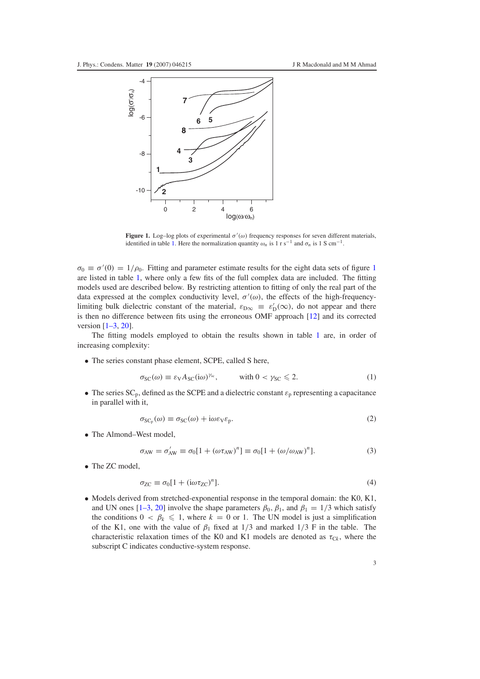<span id="page-2-0"></span>

**Figure 1.** Log-log plots of experimental  $\sigma'(\omega)$  frequency responses for seven different materials, identified in table [1.](#page-3-0) Here the normalization quantity  $\omega_n$  is 1 r s<sup>−1</sup> and  $\sigma_n$  is 1 S cm<sup>−1</sup>.

 $\sigma_0 \equiv \sigma'(0) = 1/\rho_0$  $\sigma_0 \equiv \sigma'(0) = 1/\rho_0$  $\sigma_0 \equiv \sigma'(0) = 1/\rho_0$ . Fitting and parameter estimate results for the eight data sets of figure 1 are listed in table [1,](#page-3-0) where only a few fits of the full complex data are included. The fitting models used are described below. By restricting attention to fitting of only the real part of the data expressed at the complex conductivity level,  $\sigma'(\omega)$ , the effects of the high-frequencylimiting bulk dielectric constant of the material,  $\varepsilon_{D\infty} \equiv \varepsilon'_{D}(\infty)$ , do not appear and there is then no difference between fits using the erroneous OMF approach [\[12\]](#page-12-8) and its corrected version [\[1–3,](#page-11-0) [20\]](#page-12-10).

<span id="page-2-1"></span>The fitting models employed to obtain the results shown in table [1](#page-3-0) are, in order of increasing complexity:

<span id="page-2-2"></span>• The series constant phase element, SCPE, called S here,

$$
\sigma_{SC}(\omega) \equiv \varepsilon_V A_{SC}(\mathrm{i}\omega)^{\gamma_{sc}}, \qquad \text{with } 0 < \gamma_{SC} \leq 2. \tag{1}
$$

<span id="page-2-3"></span>• The series  $SC_p$ , defined as the SCPE and a dielectric constant  $\varepsilon_p$  representing a capacitance in parallel with it,

$$
\sigma_{SC_p}(\omega) \equiv \sigma_{SC}(\omega) + i\omega \varepsilon_V \varepsilon_p. \tag{2}
$$

• The Almond–West model,

$$
\sigma_{AW} = \sigma'_{AW} \equiv \sigma_0 [1 + (\omega \tau_{AW})^n] \equiv \sigma_0 [1 + (\omega/\omega_{AW})^n]. \tag{3}
$$

• The ZC model,

$$
\sigma_{\text{ZC}} \equiv \sigma_0 [1 + (i\omega \tau_{\text{ZC}})^n]. \tag{4}
$$

• Models derived from stretched-exponential response in the temporal domain: the K0, K1, and UN ones [\[1–3,](#page-11-0) [20\]](#page-12-10) involve the shape parameters  $\beta_0$ ,  $\beta_1$ , and  $\beta_1 = 1/3$  which satisfy the conditions  $0 < \beta_k \leq 1$ , where  $k = 0$  or 1. The UN model is just a simplification of the K1, one with the value of  $\beta_1$  fixed at 1/3 and marked 1/3 F in the table. The characteristic relaxation times of the K0 and K1 models are denoted as  $\tau_{Ck}$ , where the subscript C indicates conductive-system response.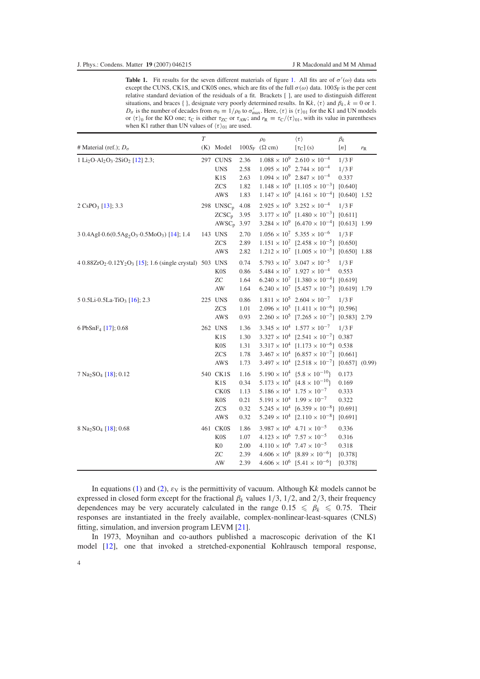<span id="page-3-0"></span>**Table [1.](#page-2-0)** Fit results for the seven different materials of figure 1. All fits are of  $\sigma'(\omega)$  data sets except the CUNS, CK1S, and CK0S ones, which are fits of the full  $\sigma(\omega)$  data. 100*S*F is the per cent relative standard deviation of the residuals of a fit. Brackets [ ], are used to distinguish different situations, and braces { }, designate very poorly determined results. In Kk,  $\langle \tau \rangle$  and  $\beta_k$ ,  $k = 0$  or 1.  $D_{\sigma}$  is the number of decades from  $\sigma_0 \equiv 1/\rho_0$  to  $\sigma'_{\text{max}}$ . Here,  $\langle \tau \rangle$  is  $\langle \tau \rangle_{01}$  for the K1 and UN models or  $\langle \tau \rangle_0$  for the KO one;  $\tau_C$  is either  $\tau_{ZC}$  or  $\tau_{AW}$ ; and  $r_R \equiv \tau_C / \langle \tau \rangle_{01}$ , with its value in parentheses when K1 rather than UN values of  $\langle \tau \rangle_{01}$  are used.

|                                                                                              | $\overline{T}$ |                       |      | $\rho_0$                | $\langle \tau \rangle$                                         | $\beta_k$ |         |
|----------------------------------------------------------------------------------------------|----------------|-----------------------|------|-------------------------|----------------------------------------------------------------|-----------|---------|
| # Material (ref.); $D_{\sigma}$                                                              |                | (K) Model             |      | $100S_F$ ( $\Omega$ cm) | $[\tau_C]$ (s)                                                 | [n]       | $r_{R}$ |
| 1 Li <sub>2</sub> O·Al <sub>2</sub> O <sub>3</sub> ·2SiO <sub>2</sub> [12] 2.3;              |                | 297 CUNS              | 2.36 |                         | $1.088 \times 10^9$ $2.610 \times 10^{-4}$                     | $1/3$ F   |         |
|                                                                                              |                | <b>UNS</b>            | 2.58 |                         | $1.095 \times 10^9$ 2.744 $\times 10^{-4}$                     | $1/3$ F   |         |
|                                                                                              |                | K1S                   | 2.63 |                         | $1.094 \times 10^9$ $2.847 \times 10^{-4}$                     | 0.337     |         |
|                                                                                              |                | <b>ZCS</b>            | 1.82 |                         | $1.148 \times 10^9$ [1.105 $\times 10^{-3}$ ] [0.640]          |           |         |
|                                                                                              |                | <b>AWS</b>            | 1.83 |                         | $1.147 \times 10^{9}$ [4.161 $\times 10^{-4}$ ] [0.640] 1.52   |           |         |
| $2 \text{CsPO}_3$ [13]; 3.3                                                                  |                | 298 UNSC <sub>p</sub> | 4.08 |                         | $2.925 \times 10^9$ 3.252 $\times 10^{-4}$                     | $1/3$ F   |         |
|                                                                                              |                | $ZCSC_p$              | 3.95 |                         | $3.177 \times 10^{9}$ [1.480 $\times 10^{-3}$ ] [0.611]        |           |         |
|                                                                                              |                | $AWSC_p$              | 3.97 |                         | $3.284 \times 10^{9}$ [6.470 $\times 10^{-4}$ ] [0.613] 1.99   |           |         |
| 3 0.4AgI.0.6(0.5Ag <sub>2</sub> O <sub>3</sub> .0.5MoO <sub>3</sub> ) [14]; 1.4              |                | 143 UNS               | 2.70 |                         | $1.056 \times 10^7$ 5.355 $\times 10^{-6}$                     | $1/3$ F   |         |
|                                                                                              |                | <b>ZCS</b>            | 2.89 |                         | $1.151 \times 10^7$ [2.458 $\times 10^{-5}$ ] [0.650]          |           |         |
|                                                                                              |                | <b>AWS</b>            | 2.82 |                         | $1.212 \times 10^7$ [1.005 $\times 10^{-5}$ ] [0.650] 1.88     |           |         |
| 4 0.88ZrO <sub>2</sub> .0.12Y <sub>2</sub> O <sub>3</sub> [15]; 1.6 (single crystal) 503 UNS |                |                       | 0.74 |                         | $5.793 \times 10^7$ $3.047 \times 10^{-5}$                     | $1/3$ F   |         |
|                                                                                              |                | <b>KOS</b>            | 0.86 |                         | $5.484 \times 10^7$ $1.927 \times 10^{-4}$                     | 0.553     |         |
|                                                                                              |                | <b>ZC</b>             | 1.64 |                         | $6.240 \times 10^7$ [1.380 $\times 10^{-4}$ ] [0.619]          |           |         |
|                                                                                              |                | AW                    | 1.64 |                         | $6.240 \times 10^7$ [5.457 $\times 10^{-5}$ ] [0.619] 1.79     |           |         |
| 5 0.5Li $\cdot$ 0.5La $\cdot$ TiO <sub>3</sub> [16]; 2.3                                     |                | 225 UNS               | 0.86 |                         | $1.811 \times 10^5$ 2.604 $\times 10^{-7}$ 1/3 F               |           |         |
|                                                                                              |                | <b>ZCS</b>            | 1.01 |                         | $2.096 \times 10^5$ [1.411 $\times 10^{-6}$ ] [0.596]          |           |         |
|                                                                                              |                | <b>AWS</b>            | 0.93 |                         | $2.260 \times 10^5$ [7.265 $\times 10^{-7}$ ] [0.583] 2.79     |           |         |
| 6 PbSnF <sub>4</sub> [17]; 0.68                                                              |                | 262 UNS               | 1.36 |                         | $3.345 \times 10^4$ $1.577 \times 10^{-7}$ 1/3 F               |           |         |
|                                                                                              |                | K1S                   | 1.30 |                         | $3.327 \times 10^4$ [2.541 $\times 10^{-7}$ ] 0.387            |           |         |
|                                                                                              |                | K <sub>0</sub> S      | 1.31 |                         | $3.317 \times 10^4$ [1.173 $\times 10^{-6}$ ] 0.538            |           |         |
|                                                                                              |                | <b>ZCS</b>            | 1.78 |                         | $3.467 \times 10^4$ [6.857 $\times 10^{-7}$ ] [0.661]          |           |         |
|                                                                                              |                | <b>AWS</b>            | 1.73 |                         | $3.497 \times 10^4$ [2.518 $\times 10^{-7}$ ] [0.657] (0.99)   |           |         |
| 7 Na <sub>2</sub> SO <sub>4</sub> [18]; 0.12                                                 |                | 540 CK1S              | 1.16 |                         | $5.190 \times 10^4$ { $5.8 \times 10^{-10}$ }                  | 0.173     |         |
|                                                                                              |                | K <sub>1</sub> S      | 0.34 |                         | $5.173 \times 10^4$ {4.8 \times 10 <sup>-10</sup> }            | 0.169     |         |
|                                                                                              |                | <b>CK0S</b>           | 1.13 |                         | $5.186 \times 10^4$ $1.75 \times 10^{-7}$                      | 0.333     |         |
|                                                                                              |                | <b>KOS</b>            | 0.21 |                         | $5.191 \times 10^4$ $1.99 \times 10^{-7}$                      | 0.322     |         |
|                                                                                              |                | <b>ZCS</b>            | 0.32 |                         | $5.245 \times 10^4$ [6.359 $\times 10^{-8}$ ] [0.691]          |           |         |
|                                                                                              |                | <b>AWS</b>            | 0.32 |                         | $5.249 \times 10^4$ [2.110 $\times$ 10 <sup>-8</sup> ] [0.691] |           |         |
| 8 Na <sub>2</sub> SO <sub>4</sub> [18]; 0.68                                                 |                | 461 CK0S              | 1.86 |                         | $3.987 \times 10^6$ 4.71 $\times 10^{-5}$                      | 0.336     |         |
|                                                                                              |                | K <sub>0</sub> S      | 1.07 |                         | $4.123 \times 10^6$ 7.57 $\times 10^{-5}$                      | 0.316     |         |
|                                                                                              |                | K <sub>0</sub>        | 2.00 |                         | $4.110 \times 10^6$ 7.47 $\times 10^{-5}$                      | 0.318     |         |
|                                                                                              |                | ZC                    | 2.39 |                         | $4.606 \times 10^6$ [8.89 $\times 10^{-6}$ ]                   | [0.378]   |         |
|                                                                                              |                | AW                    | 2.39 |                         | $4.606 \times 10^6$ [5.41 $\times 10^{-6}$ ]                   | [0.378]   |         |

In equations [\(1\)](#page-2-1) and [\(2\)](#page-2-2),  $\varepsilon_V$  is the permittivity of vacuum. Although Kk models cannot be expressed in closed form except for the fractional  $\beta_k$  values 1/3, 1/2, and 2/3, their frequency dependences may be very accurately calculated in the range  $0.15 \le \beta_k \le 0.75$ . Their responses are instantiated in the freely available, complex-nonlinear-least-squares (CNLS) fitting, simulation, and inversion program LEVM [\[21\]](#page-12-10).

In 1973, Moynihan and co-authors published a macroscopic derivation of the K1 model [\[12\]](#page-12-8), one that invoked a stretched-exponential Kohlrausch temporal response,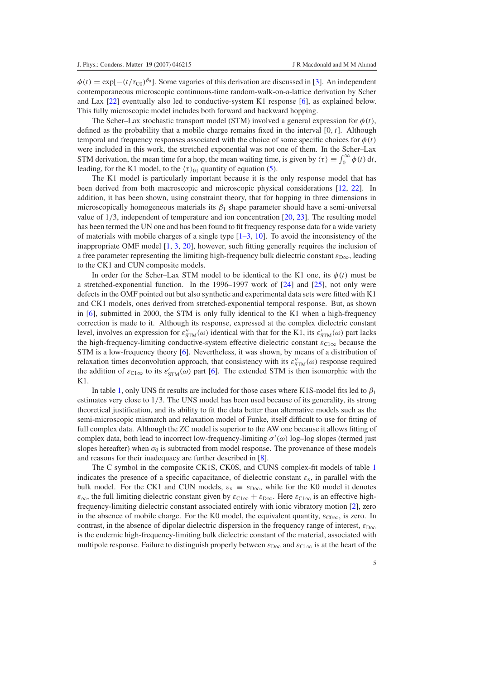$\phi(t) = \exp[-(t/\tau_{\text{CO}})^{\beta_0}]$ . Some vagaries of this derivation are discussed in [\[3\]](#page-12-5). An independent contemporaneous microscopic continuous-time random-walk-on-a-lattice derivation by Scher and Lax [\[22\]](#page-12-16) eventually also led to conductive-system K1 response [\[6\]](#page-12-2), as explained below. This fully microscopic model includes both forward and backward hopping.

The Scher–Lax stochastic transport model (STM) involved a general expression for  $\phi(t)$ , defined as the probability that a mobile charge remains fixed in the interval [0,*t*]. Although temporal and frequency responses associated with the choice of some specific choices for  $\phi(t)$ were included in this work, the stretched exponential was not one of them. In the Scher–Lax STM derivation, the mean time for a hop, the mean waiting time, is given by  $\langle \tau \rangle \equiv \int_0^\infty \phi(t) dt$ , leading, for the K1 model, to the  $\langle \tau \rangle_{01}$  quantity of equation [\(5\)](#page-5-0).

The K1 model is particularly important because it is the only response model that has been derived from both macroscopic and microscopic physical considerations [\[12,](#page-12-8) [22\]](#page-12-16). In addition, it has been shown, using constraint theory, that for hopping in three dimensions in microscopically homogeneous materials its  $\beta_1$  shape parameter should have a semi-universal value of 1/3, independent of temperature and ion concentration [\[20,](#page-12-10) [23\]](#page-12-17). The resulting model has been termed the UN one and has been found to fit frequency response data for a wide variety of materials with mobile charges of a single type  $[1-3, 10]$  $[1-3, 10]$ . To avoid the inconsistency of the inappropriate OMF model [\[1,](#page-11-0) [3,](#page-12-5) [20\]](#page-12-10), however, such fitting generally requires the inclusion of a free parameter representing the limiting high-frequency bulk dielectric constant  $\varepsilon_{\text{D}\infty}$ , leading to the CK1 and CUN composite models.

In order for the Scher–Lax STM model to be identical to the K1 one, its  $\phi(t)$  must be a stretched-exponential function. In the 1996–1997 work of [\[24\]](#page-12-17) and [\[25\]](#page-12-18), not only were defects in the OMF pointed out but also synthetic and experimental data sets were fitted with K1 and CK1 models, ones derived from stretched-exponential temporal response. But, as shown in [\[6\]](#page-12-2), submitted in 2000, the STM is only fully identical to the K1 when a high-frequency correction is made to it. Although its response, expressed at the complex dielectric constant level, involves an expression for  $\varepsilon''_{\text{STM}}(\omega)$  identical with that for the K1, its  $\varepsilon'_{\text{STM}}(\omega)$  part lacks the high-frequency-limiting conductive-system effective dielectric constant  $\varepsilon_{C1\infty}$  because the STM is a low-frequency theory [\[6\]](#page-12-2). Nevertheless, it was shown, by means of a distribution of relaxation times deconvolution approach, that consistency with its  $\varepsilon''_{\text{STM}}(\omega)$  response required the addition of  $\varepsilon_{C1\infty}$  to its  $\varepsilon'_{STM}(\omega)$  part [\[6\]](#page-12-2). The extended STM is then isomorphic with the  $K1$ 

In table [1,](#page-3-0) only UNS fit results are included for those cases where K1S-model fits led to  $\beta_1$ estimates very close to 1/3. The UNS model has been used because of its generality, its strong theoretical justification, and its ability to fit the data better than alternative models such as the semi-microscopic mismatch and relaxation model of Funke, itself difficult to use for fitting of full complex data. Although the ZC model is superior to the AW one because it allows fitting of complex data, both lead to incorrect low-frequency-limiting  $\sigma'(\omega)$  log-log slopes (termed just slopes hereafter) when  $\sigma_0$  is subtracted from model response. The provenance of these models and reasons for their inadequacy are further described in [\[8\]](#page-12-4).

The C symbol in the composite CK1S, CK0S, and CUNS complex-fit models of table [1](#page-3-0) indicates the presence of a specific capacitance, of dielectric constant  $\varepsilon_x$ , in parallel with the bulk model. For the CK1 and CUN models,  $\varepsilon_x \equiv \varepsilon_{D\infty}$ , while for the K0 model it denotes  $\varepsilon_{\infty}$ , the full limiting dielectric constant given by  $\varepsilon_{C1\infty} + \varepsilon_{D\infty}$ . Here  $\varepsilon_{C1\infty}$  is an effective highfrequency-limiting dielectric constant associated entirely with ionic vibratory motion [\[2\]](#page-11-1), zero in the absence of mobile charge. For the K0 model, the equivalent quantity,  $\varepsilon_{C0\infty}$ , is zero. In contrast, in the absence of dipolar dielectric dispersion in the frequency range of interest,  $\varepsilon_{\text{D}\infty}$ is the endemic high-frequency-limiting bulk dielectric constant of the material, associated with multipole response. Failure to distinguish properly between  $\varepsilon_{\text{D}\infty}$  and  $\varepsilon_{\text{C1}\infty}$  is at the heart of the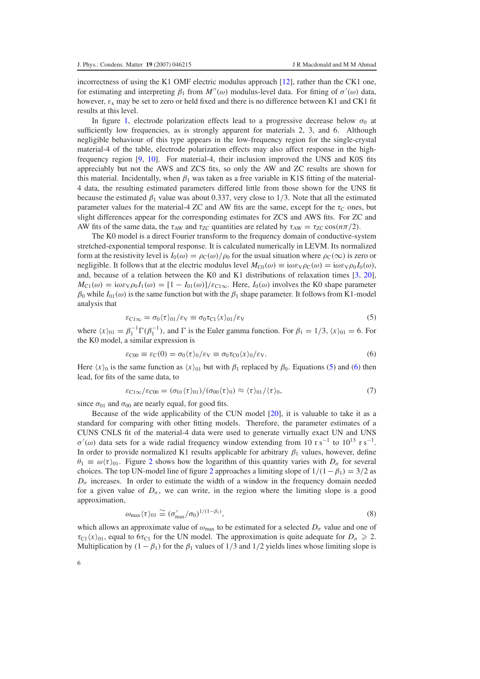incorrectness of using the K1 OMF electric modulus approach [\[12\]](#page-12-8), rather than the CK1 one, for estimating and interpreting  $\beta_1$  from  $M''(\omega)$  modulus-level data. For fitting of  $\sigma'(\omega)$  data, however,  $\varepsilon_x$  may be set to zero or held fixed and there is no difference between K1 and CK1 fit results at this level.

In figure [1,](#page-2-0) electrode polarization effects lead to a progressive decrease below  $\sigma_0$  at sufficiently low frequencies, as is strongly apparent for materials 2, 3, and 6. Although negligible behaviour of this type appears in the low-frequency region for the single-crystal material-4 of the table, electrode polarization effects may also affect response in the highfrequency region [\[9,](#page-12-6) [10\]](#page-12-7). For material-4, their inclusion improved the UNS and K0S fits appreciably but not the AWS and ZCS fits, so only the AW and ZC results are shown for this material. Incidentally, when  $\beta_1$  was taken as a free variable in K1S fitting of the material-4 data, the resulting estimated parameters differed little from those shown for the UNS fit because the estimated  $\beta_1$  value was about 0.337, very close to 1/3. Note that all the estimated parameter values for the material-4 ZC and AW fits are the same, except for the  $\tau_c$  ones, but slight differences appear for the corresponding estimates for ZCS and AWS fits. For ZC and AW fits of the same data, the  $\tau_{AW}$  and  $\tau_{ZC}$  quantities are related by  $\tau_{AW} = \tau_{ZC} \cos(n\pi/2)$ .

<span id="page-5-0"></span>The K0 model is a direct Fourier transform to the frequency domain of conductive-system stretched-exponential temporal response. It is calculated numerically in LEVM. Its normalized form at the resistivity level is  $I_0(\omega) = \rho_C(\omega)/\rho_0$  for the usual situation where  $\rho_C(\infty)$  is zero or negligible. It follows that at the electric modulus level  $M_{C0}(\omega) \equiv i\omega \varepsilon_V \rho_C(\omega) = i\omega \varepsilon_V \rho_0 I_0(\omega)$ , and, because of a relation between the K0 and K1 distributions of relaxation times [\[3,](#page-12-5) [20\]](#page-12-10),  $M_{\text{Cl}}(\omega) = i\omega \varepsilon \sqrt{\rho_0} I_1(\omega) = [1 - I_{01}(\omega)]/\varepsilon_{\text{Cl}\infty}$ . Here,  $I_0(\omega)$  involves the K0 shape parameter  $\beta_0$  while  $I_{01}(\omega)$  is the same function but with the  $\beta_1$  shape parameter. It follows from K1-model analysis that

$$
\varepsilon_{\text{Cl}\infty} = \sigma_0 \langle \tau \rangle_{01} / \varepsilon_{\text{V}} \equiv \sigma_0 \tau_{\text{Cl}} \langle x \rangle_{01} / \varepsilon_{\text{V}} \tag{5}
$$

<span id="page-5-1"></span>where  $\langle x \rangle_{01} = \beta_1^{-1} \Gamma(\beta_1^{-1})$ , and  $\Gamma$  is the Euler gamma function. For  $\beta_1 = 1/3$ ,  $\langle x \rangle_{01} = 6$ . For the K0 model, a similar expression is

$$
\varepsilon_{\text{C00}} \equiv \varepsilon_{\text{C}}(0) = \sigma_0 \langle \tau \rangle_0 / \varepsilon_{\text{V}} \equiv \sigma_0 \tau_{\text{C0}} \langle x \rangle_0 / \varepsilon_{\text{V}}.
$$
\n
$$
(6)
$$

Here  $\langle x \rangle_0$  is the same function as  $\langle x \rangle_{01}$  but with  $\beta_1$  replaced by  $\beta_0$ . Equations [\(5\)](#page-5-0) and [\(6\)](#page-5-1) then lead, for fits of the same data, to

$$
\varepsilon_{\text{Cl}\infty}/\varepsilon_{\text{CO}0} = (\sigma_{01}\langle \tau \rangle_{01})/(\sigma_{00}\langle \tau \rangle_{0}) \approx \langle \tau \rangle_{01}/\langle \tau \rangle_{0},\tag{7}
$$

since  $\sigma_{01}$  and  $\sigma_{00}$  are nearly equal, for good fits.

<span id="page-5-2"></span>Because of the wide applicability of the CUN model [\[20\]](#page-12-10), it is valuable to take it as a standard for comparing with other fitting models. Therefore, the parameter estimates of a CUNS CNLS fit of the material-4 data were used to generate virtually exact UN and UNS  $\sigma'(\omega)$  data sets for a wide radial frequency window extending from 10 r s<sup>-1</sup> to 10<sup>13</sup> r s<sup>-1</sup>. In order to provide normalized K1 results applicable for arbitrary  $\beta_1$  values, however, define  $\theta_1 \equiv \omega(\tau)_{01}$ . Figure [2](#page-6-0) shows how the logarithm of this quantity varies with  $D_{\sigma}$  for several choices. The top UN-model line of figure [2](#page-6-0) approaches a limiting slope of  $1/(1 - \beta_1) = 3/2$  as  $D_{\sigma}$  increases. In order to estimate the width of a window in the frequency domain needed for a given value of  $D_{\sigma}$ , we can write, in the region where the limiting slope is a good approximation,

$$
\omega_{\max}\langle\tau\rangle_{01} \cong (\sigma'_{\max}/\sigma_0)^{1/(1-\beta_1)},\tag{8}
$$

which allows an approximate value of  $\omega_{\text{max}}$  to be estimated for a selected  $D_{\sigma}$  value and one of  $\tau_{C1}(x)_{01}$ , equal to  $6\tau_{C1}$  for the UN model. The approximation is quite adequate for  $D_{\sigma} \geq 2$ . Multiplication by  $(1 - \beta_1)$  for the  $\beta_1$  values of  $1/3$  and  $1/2$  yields lines whose limiting slope is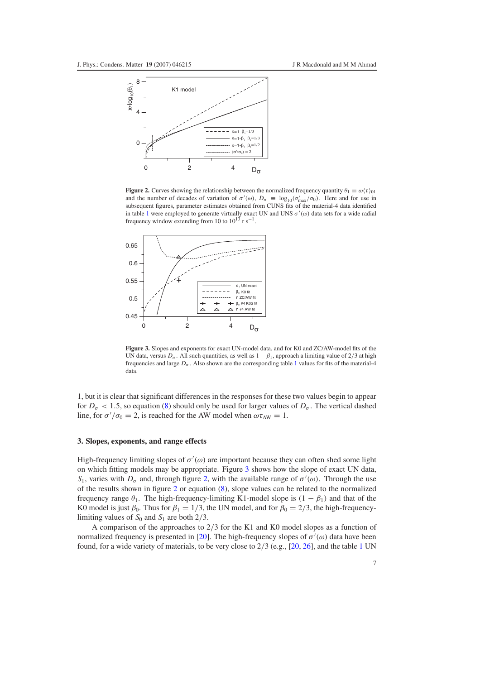<span id="page-6-0"></span>

<span id="page-6-1"></span>**Figure 2.** Curves showing the relationship between the normalized frequency quantity  $\theta_1 \equiv \omega(\tau)_{01}$ and the number of decades of variation of  $\sigma'(\omega)$ ,  $D_{\sigma} \equiv \log_{10}(\sigma'_{\text{max}}/\sigma_0)$ . Here and for use in subsequent figures, parameter estimates obtained from CUNS fits of the material-4 data identified in table [1](#page-3-0) were employed to generate virtually exact UN and UNS  $\sigma'(\omega)$  data sets for a wide radial frequency window extending from 10 to  $10^{13}$  r s<sup>-1</sup>.



**Figure 3.** Slopes and exponents for exact UN-model data, and for K0 and ZC/AW-model fits of the UN data, versus  $D_{\sigma}$ . All such quantities, as well as  $1 - \beta_1$ , approach a limiting value of 2/3 at high frequencies and large  $D_{\sigma}$ . Also shown are the corresponding table [1](#page-3-0) values for fits of the material-4 data.

1, but it is clear that significant differences in the responses for these two values begin to appear for  $D_{\sigma}$  < 1.5, so equation [\(8\)](#page-5-2) should only be used for larger values of  $D_{\sigma}$ . The vertical dashed line, for  $\sigma'/\sigma_0 = 2$ , is reached for the AW model when  $\omega \tau_{AW} = 1$ .

## **3. Slopes, exponents, and range effects**

High-frequency limiting slopes of  $\sigma'(\omega)$  are important because they can often shed some light on which fitting models may be appropriate. Figure [3](#page-6-1) shows how the slope of exact UN data, *S*<sub>1</sub>, varies with  $D_{\sigma}$  and, through figure [2,](#page-6-0) with the available range of  $\sigma'(\omega)$ . Through the use of the results shown in figure [2](#page-6-0) or equation [\(8\)](#page-5-2), slope values can be related to the normalized frequency range  $\theta_1$ . The high-frequency-limiting K1-model slope is  $(1 - \beta_1)$  and that of the K0 model is just  $\beta_0$ . Thus for  $\beta_1 = 1/3$ , the UN model, and for  $\beta_0 = 2/3$ , the high-frequencylimiting values of  $S_0$  and  $S_1$  are both 2/3.

A comparison of the approaches to 2/3 for the K1 and K0 model slopes as a function of normalized frequency is presented in [\[20\]](#page-12-10). The high-frequency slopes of  $\sigma'(\omega)$  data have been found, for a wide variety of materials, to be very close to 2/3 (e.g., [\[20,](#page-12-10) [26\]](#page-12-19), and the table [1](#page-3-0) UN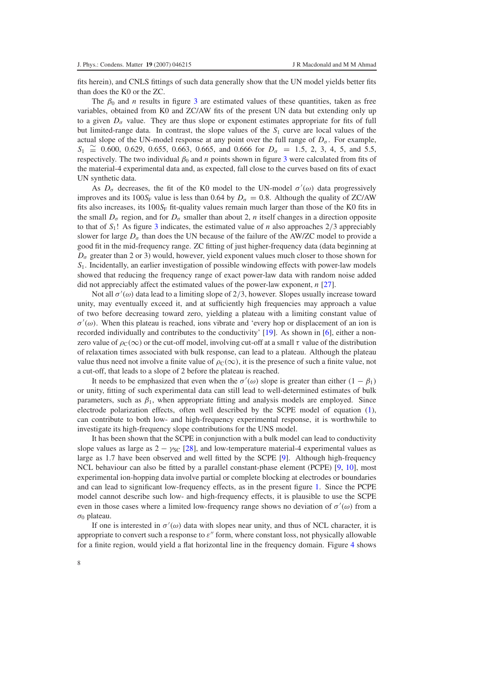fits herein), and CNLS fittings of such data generally show that the UN model yields better fits than does the K0 or the ZC.

The  $\beta_0$  and *n* results in figure [3](#page-6-1) are estimated values of these quantities, taken as free variables, obtained from K0 and ZC/AW fits of the present UN data but extending only up to a given  $D_{\sigma}$  value. They are thus slope or exponent estimates appropriate for fits of full but limited-range data. In contrast, the slope values of the *S*<sup>1</sup> curve are local values of the actual slope of the UN-model response at any point over the full range of  $D_{\sigma}$ . For example,  $S_1 \cong 0.600, 0.629, 0.655, 0.663, 0.665,$  and 0.666 for  $D_{\sigma} = 1.5, 2, 3, 4, 5,$  and 5.5, respectively. The two individual  $\beta_0$  and *n* points shown in figure [3](#page-6-1) were calculated from fits of the material-4 experimental data and, as expected, fall close to the curves based on fits of exact UN synthetic data.

As  $D_{\sigma}$  decreases, the fit of the K0 model to the UN-model  $\sigma'(\omega)$  data progressively improves and its 100 $S_F$  value is less than 0.64 by  $D_\sigma = 0.8$ . Although the quality of ZC/AW fits also increases, its  $100S_F$  fit-quality values remain much larger than those of the K0 fits in the small  $D_{\sigma}$  region, and for  $D_{\sigma}$  smaller than about 2, *n* itself changes in a direction opposite to that of  $S_1$ ! As figure [3](#page-6-1) indicates, the estimated value of *n* also approaches  $2/3$  appreciably slower for large  $D_{\sigma}$  than does the UN because of the failure of the AW/ZC model to provide a good fit in the mid-frequency range. ZC fitting of just higher-frequency data (data beginning at  $D_{\sigma}$  greater than 2 or 3) would, however, yield exponent values much closer to those shown for  $S<sub>1</sub>$ . Incidentally, an earlier investigation of possible windowing effects with power-law models showed that reducing the frequency range of exact power-law data with random noise added did not appreciably affect the estimated values of the power-law exponent, *n* [\[27\]](#page-12-20).

Not all  $\sigma'(\omega)$  data lead to a limiting slope of 2/3, however. Slopes usually increase toward unity, may eventually exceed it, and at sufficiently high frequencies may approach a value of two before decreasing toward zero, yielding a plateau with a limiting constant value of  $\sigma'(\omega)$ . When this plateau is reached, ions vibrate and 'every hop or displacement of an ion is recorded individually and contributes to the conductivity' [\[19\]](#page-12-9). As shown in [\[6\]](#page-12-2), either a nonzero value of  $\rho_c(\infty)$  or the cut-off model, involving cut-off at a small  $\tau$  value of the distribution of relaxation times associated with bulk response, can lead to a plateau. Although the plateau value thus need not involve a finite value of  $\rho_c(\infty)$ , it is the presence of such a finite value, not a cut-off, that leads to a slope of 2 before the plateau is reached.

It needs to be emphasized that even when the  $\sigma'(\omega)$  slope is greater than either  $(1 - \beta_1)$ or unity, fitting of such experimental data can still lead to well-determined estimates of bulk parameters, such as  $\beta_1$ , when appropriate fitting and analysis models are employed. Since electrode polarization effects, often well described by the SCPE model of equation [\(1\)](#page-2-1), can contribute to both low- and high-frequency experimental response, it is worthwhile to investigate its high-frequency slope contributions for the UNS model.

It has been shown that the SCPE in conjunction with a bulk model can lead to conductivity slope values as large as  $2 - \gamma_{SC}$  [\[28\]](#page-12-21), and low-temperature material-4 experimental values as large as 1.7 have been observed and well fitted by the SCPE [\[9\]](#page-12-6). Although high-frequency NCL behaviour can also be fitted by a parallel constant-phase element (PCPE) [\[9,](#page-12-6) [10\]](#page-12-7), most experimental ion-hopping data involve partial or complete blocking at electrodes or boundaries and can lead to significant low-frequency effects, as in the present figure [1.](#page-2-0) Since the PCPE model cannot describe such low- and high-frequency effects, it is plausible to use the SCPE even in those cases where a limited low-frequency range shows no deviation of  $\sigma'(\omega)$  from a  $σ_0$  plateau.

If one is interested in  $\sigma'(\omega)$  data with slopes near unity, and thus of NCL character, it is appropriate to convert such a response to  $\varepsilon''$  form, where constant loss, not physically allowable for a finite region, would yield a flat horizontal line in the frequency domain. Figure [4](#page-8-0) shows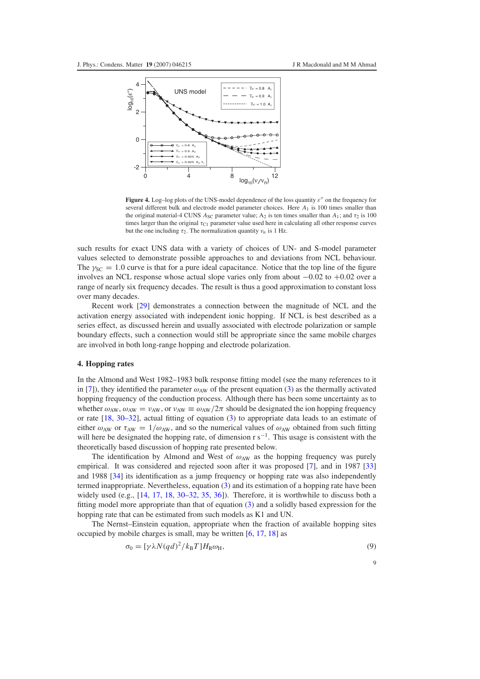<span id="page-8-0"></span>

Figure 4. Log-log plots of the UNS-model dependence of the loss quantity  $\varepsilon$ " on the frequency for several different bulk and electrode model parameter choices. Here *A*<sup>1</sup> is 100 times smaller than the original material-4 CUNS  $A_{SC}$  parameter value;  $A_2$  is ten times smaller than  $A_1$ ; and  $\tau_2$  is 100 times larger than the original  $\tau_{C1}$  parameter value used here in calculating all other response curves but the one including  $\tau_2$ . The normalization quantity  $\nu_n$  is 1 Hz.

such results for exact UNS data with a variety of choices of UN- and S-model parameter values selected to demonstrate possible approaches to and deviations from NCL behaviour. The  $\gamma_{SC} = 1.0$  curve is that for a pure ideal capacitance. Notice that the top line of the figure involves an NCL response whose actual slope varies only from about −0.02 to +0.02 over a range of nearly six frequency decades. The result is thus a good approximation to constant loss over many decades.

Recent work [\[29\]](#page-12-22) demonstrates a connection between the magnitude of NCL and the activation energy associated with independent ionic hopping. If NCL is best described as a series effect, as discussed herein and usually associated with electrode polarization or sample boundary effects, such a connection would still be appropriate since the same mobile charges are involved in both long-range hopping and electrode polarization.

#### **4. Hopping rates**

In the Almond and West 1982–1983 bulk response fitting model (see the many references to it in [\[7\]](#page-12-3)), they identified the parameter  $\omega_{AW}$  of the present equation [\(3\)](#page-2-3) as the thermally activated hopping frequency of the conduction process. Although there has been some uncertainty as to whether  $\omega_{AW}$ ,  $\omega_{AW} = v_{AW}$ , or  $v_{AW} \equiv \omega_{AW}/2\pi$  should be designated the ion hopping frequency or rate [\[18,](#page-12-15) [30–32\]](#page-12-23), actual fitting of equation [\(3\)](#page-2-3) to appropriate data leads to an estimate of either  $\omega_{AW}$  or  $\tau_{AW} = 1/\omega_{AW}$ , and so the numerical values of  $\omega_{AW}$  obtained from such fitting will here be designated the hopping rate, of dimension  $r s^{-1}$ . This usage is consistent with the theoretically based discussion of hopping rate presented below.

<span id="page-8-1"></span>The identification by Almond and West of  $\omega_{AW}$  as the hopping frequency was purely empirical. It was considered and rejected soon after it was proposed [\[7\]](#page-12-3), and in 1987 [\[33\]](#page-12-24) and 1988 [\[34\]](#page-12-25) its identification as a jump frequency or hopping rate was also independently termed inappropriate. Nevertheless, equation [\(3\)](#page-2-3) and its estimation of a hopping rate have been widely used (e.g., [\[14,](#page-12-12) [17,](#page-12-15) [18,](#page-12-15) [30–32,](#page-12-23) [35,](#page-12-26) [36\]](#page-12-27)). Therefore, it is worthwhile to discuss both a fitting model more appropriate than that of equation [\(3\)](#page-2-3) and a solidly based expression for the hopping rate that can be estimated from such models as K1 and UN.

The Nernst–Einstein equation, appropriate when the fraction of available hopping sites occupied by mobile charges is small, may be written [\[6,](#page-12-2) [17,](#page-12-15) [18\]](#page-12-15) as

$$
\sigma_0 = [\gamma \lambda N (q d)^2 / k_{\rm B} T] H_{\rm R} \omega_{\rm H},\tag{9}
$$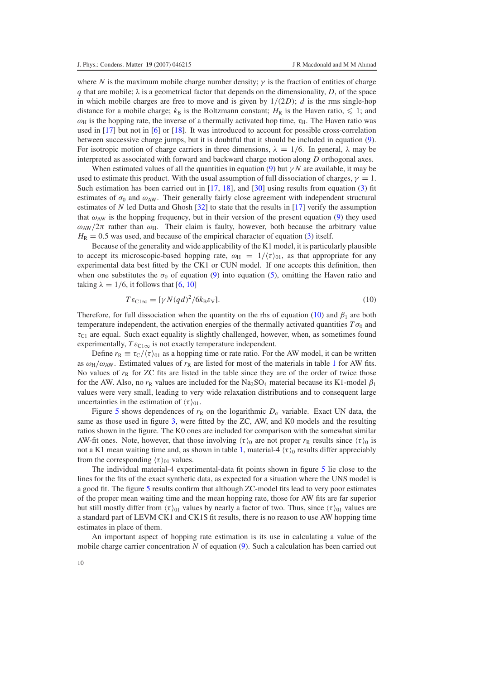where *N* is the maximum mobile charge number density;  $\gamma$  is the fraction of entities of charge *q* that are mobile;  $\lambda$  is a geometrical factor that depends on the dimensionality, *D*, of the space in which mobile charges are free to move and is given by  $1/(2D)$ ; *d* is the rms single-hop distance for a mobile charge;  $k_B$  is the Boltzmann constant;  $H_R$  is the Haven ratio,  $\leq 1$ ; and  $\omega_H$  is the hopping rate, the inverse of a thermally activated hop time,  $\tau_H$ . The Haven ratio was used in [\[17\]](#page-12-15) but not in [\[6\]](#page-12-2) or [\[18\]](#page-12-15). It was introduced to account for possible cross-correlation between successive charge jumps, but it is doubtful that it should be included in equation [\(9\)](#page-8-1). For isotropic motion of charge carriers in three dimensions,  $\lambda = 1/6$ . In general,  $\lambda$  may be interpreted as associated with forward and backward charge motion along *D* orthogonal axes.

When estimated values of all the quantities in equation [\(9\)](#page-8-1) but  $\gamma N$  are available, it may be used to estimate this product. With the usual assumption of full dissociation of charges,  $\gamma = 1$ . Such estimation has been carried out in [\[17,](#page-12-15) [18\]](#page-12-15), and [\[30\]](#page-12-23) using results from equation [\(3\)](#page-2-3) fit estimates of  $\sigma_0$  and  $\omega_{AW}$ . Their generally fairly close agreement with independent structural estimates of *N* led Dutta and Ghosh [\[32\]](#page-12-28) to state that the results in [\[17\]](#page-12-15) verify the assumption that  $\omega_{AW}$  is the hopping frequency, but in their version of the present equation [\(9\)](#page-8-1) they used  $\omega_{AW}/2\pi$  rather than  $\omega_H$ . Their claim is faulty, however, both because the arbitrary value  $H_R = 0.5$  was used, and because of the empirical character of equation [\(3\)](#page-2-3) itself.

<span id="page-9-0"></span>Because of the generality and wide applicability of the K1 model, it is particularly plausible to accept its microscopic-based hopping rate,  $\omega_H = 1/(\tau)_{01}$ , as that appropriate for any experimental data best fitted by the CK1 or CUN model. If one accepts this definition, then when one substitutes the  $\sigma_0$  of equation [\(9\)](#page-8-1) into equation [\(5\)](#page-5-0), omitting the Haven ratio and taking  $\lambda = 1/6$ , it follows that [\[6,](#page-12-2) [10\]](#page-12-7)

$$
T\varepsilon_{\text{Cl}\infty} = [\gamma N (qd)^2 / 6k_B \varepsilon_V]. \tag{10}
$$

Therefore, for full dissociation when the quantity on the rhs of equation [\(10\)](#page-9-0) and  $\beta_1$  are both temperature independent, the activation energies of the thermally activated quantities  $T\sigma_0$  and  $\tau_{\text{Cl}}$  are equal. Such exact equality is slightly challenged, however, when, as sometimes found experimentally,  $T \varepsilon_{C1\infty}$  is not exactly temperature independent.

Define  $r_R \equiv \tau_C/\langle \tau \rangle_{01}$  as a hopping time or rate ratio. For the AW model, it can be written as  $\omega_H/\omega_{AW}$ . Estimated values of  $r_R$  are listed for most of the materials in table [1](#page-3-0) for AW fits. No values of  $r<sub>R</sub>$  for ZC fits are listed in the table since they are of the order of twice those for the AW. Also, no  $r_R$  values are included for the Na<sub>2</sub>SO<sub>4</sub> material because its K1-model  $\beta_1$ values were very small, leading to very wide relaxation distributions and to consequent large uncertainties in the estimation of  $\langle \tau \rangle_{01}$ .

Figure [5](#page-10-0) shows dependences of  $r_R$  on the logarithmic  $D_{\sigma}$  variable. Exact UN data, the same as those used in figure [3,](#page-6-1) were fitted by the ZC, AW, and K0 models and the resulting ratios shown in the figure. The K0 ones are included for comparison with the somewhat similar AW-fit ones. Note, however, that those involving  $\langle \tau \rangle_0$  are not proper  $r_R$  results since  $\langle \tau \rangle_0$  is not a K1 mean waiting time and, as shown in table [1,](#page-3-0) material-4  $\langle \tau \rangle_0$  results differ appreciably from the corresponding  $\langle \tau \rangle_{01}$  values.

The individual material-4 experimental-data fit points shown in figure [5](#page-10-0) lie close to the lines for the fits of the exact synthetic data, as expected for a situation where the UNS model is a good fit. The figure [5](#page-10-0) results confirm that although ZC-model fits lead to very poor estimates of the proper mean waiting time and the mean hopping rate, those for AW fits are far superior but still mostly differ from  $\langle \tau \rangle_{01}$  values by nearly a factor of two. Thus, since  $\langle \tau \rangle_{01}$  values are a standard part of LEVM CK1 and CK1S fit results, there is no reason to use AW hopping time estimates in place of them.

An important aspect of hopping rate estimation is its use in calculating a value of the mobile charge carrier concentration *N* of equation [\(9\)](#page-8-1). Such a calculation has been carried out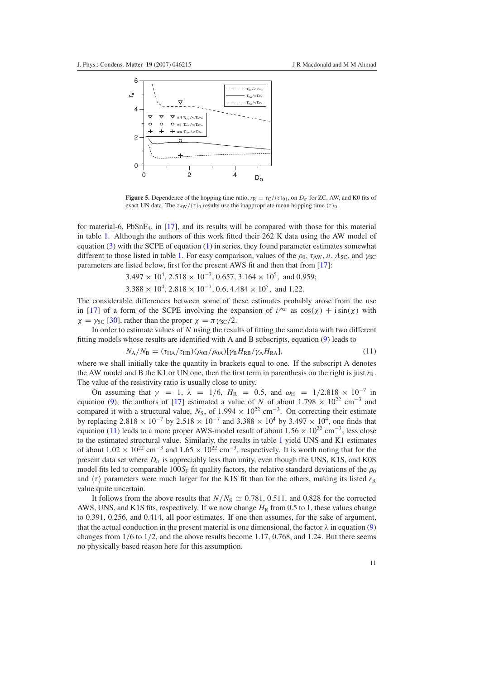<span id="page-10-0"></span>

**Figure 5.** Dependence of the hopping time ratio,  $r_R \equiv \tau_C/\langle \tau \rangle_{01}$ , on  $D_\sigma$  for ZC, AW, and K0 fits of exact UN data. The  $\tau_{AW}/\langle \tau \rangle_0$  results use the inappropriate mean hopping time  $\langle \tau \rangle_0$ .

for material-6,  $PbSnF<sub>4</sub>$ , in [\[17\]](#page-12-15), and its results will be compared with those for this material in table [1.](#page-3-0) Although the authors of this work fitted their 262 K data using the AW model of equation  $(3)$  with the SCPE of equation  $(1)$  in series, they found parameter estimates somewhat different to those listed in table [1.](#page-3-0) For easy comparison, values of the  $\rho_0$ ,  $\tau_{AW}$ , *n*,  $A_{SC}$ , and  $\gamma_{SC}$ parameters are listed below, first for the present AWS fit and then that from [\[17\]](#page-12-15):

$$
3.497 \times 10^4
$$
,  $2.518 \times 10^{-7}$ ,  $0.657$ ,  $3.164 \times 10^5$ , and  $0.959$ ;

 $3.388 \times 10^4$ ,  $2.818 \times 10^{-7}$ , 0.6,  $4.484 \times 10^5$ , and 1.22.

<span id="page-10-1"></span>The considerable differences between some of these estimates probably arose from the use in [\[17\]](#page-12-15) of a form of the SCPE involving the expansion of  $i^{\gamma_{SC}}$  as  $\cos(\chi) + i \sin(\chi)$  with  $\chi = \gamma_{\text{SC}}$  [\[30\]](#page-12-23), rather than the proper  $\chi = \pi \gamma_{\text{SC}}/2$ .

In order to estimate values of *N* using the results of fitting the same data with two different fitting models whose results are identified with A and B subscripts, equation [\(9\)](#page-8-1) leads to

$$
N_{A}/N_{B} = (\tau_{HA}/\tau_{HB})(\rho_{0B}/\rho_{0A})[\gamma_{B}H_{RB}/\gamma_{A}H_{RA}],
$$
\n(11)

where we shall initially take the quantity in brackets equal to one. If the subscript A denotes the AW model and B the K1 or UN one, then the first term in parenthesis on the right is just  $r<sub>R</sub>$ . The value of the resistivity ratio is usually close to unity.

On assuming that  $\gamma = 1$ ,  $\lambda = 1/6$ ,  $H_R = 0.5$ , and  $\omega_H = 1/2.818 \times 10^{-7}$  in equation [\(9\)](#page-8-1), the authors of [\[17\]](#page-12-15) estimated a value of *N* of about 1.798  $\times$  10<sup>22</sup> cm<sup>-3</sup> and compared it with a structural value,  $N<sub>S</sub>$ , of 1.994 × 10<sup>22</sup> cm<sup>-3</sup>. On correcting their estimate by replacing 2.818 × 10<sup>-7</sup> by 2.518 × 10<sup>-7</sup> and 3.388 × 10<sup>4</sup> by 3.497 × 10<sup>4</sup>, one finds that equation [\(11\)](#page-10-1) leads to a more proper AWS-model result of about  $1.56 \times 10^{22}$  cm<sup>-3</sup>, less close to the estimated structural value. Similarly, the results in table [1](#page-3-0) yield UNS and K1 estimates of about  $1.02 \times 10^{22}$  cm<sup>-3</sup> and  $1.65 \times 10^{22}$  cm<sup>-3</sup>, respectively. It is worth noting that for the present data set where  $D_{\sigma}$  is appreciably less than unity, even though the UNS, K1S, and K0S model fits led to comparable 100 $S_F$  fit quality factors, the relative standard deviations of the  $\rho_0$ and  $\langle \tau \rangle$  parameters were much larger for the K1S fit than for the others, making its listed  $r_R$ value quite uncertain.

It follows from the above results that  $N/N_S \simeq 0.781, 0.511$ , and 0.828 for the corrected AWS, UNS, and K1S fits, respectively. If we now change  $H<sub>R</sub>$  from 0.5 to 1, these values change to 0.391, 0.256, and 0.414, all poor estimates. If one then assumes, for the sake of argument, that the actual conduction in the present material is one dimensional, the factor  $\lambda$  in equation [\(9\)](#page-8-1) changes from  $1/6$  to  $1/2$ , and the above results become 1.17, 0.768, and 1.24. But there seems no physically based reason here for this assumption.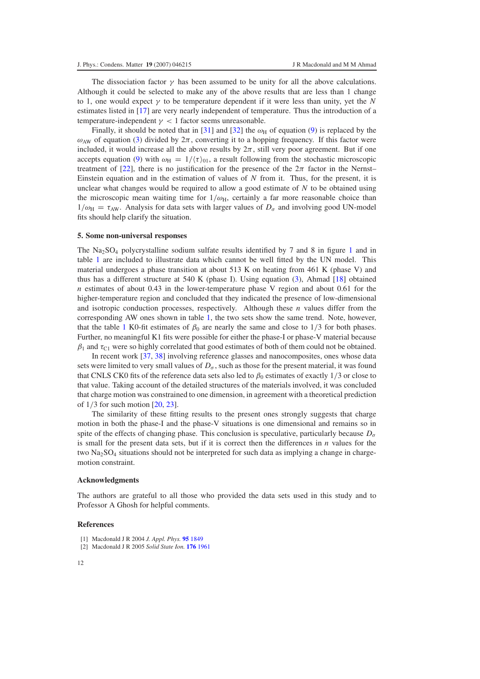The dissociation factor  $\gamma$  has been assumed to be unity for all the above calculations. Although it could be selected to make any of the above results that are less than 1 change to 1, one would expect  $\gamma$  to be temperature dependent if it were less than unity, yet the *N* estimates listed in [\[17\]](#page-12-15) are very nearly independent of temperature. Thus the introduction of a temperature-independent  $\gamma$  < 1 factor seems unreasonable.

Finally, it should be noted that in [\[31\]](#page-12-29) and [\[32\]](#page-12-28) the  $\omega_H$  of equation [\(9\)](#page-8-1) is replaced by the  $\omega_{\text{AW}}$  of equation [\(3\)](#page-2-3) divided by  $2\pi$ , converting it to a hopping frequency. If this factor were included, it would increase all the above results by  $2\pi$ , still very poor agreement. But if one accepts equation [\(9\)](#page-8-1) with  $\omega_H = 1/(\tau)_{01}$ , a result following from the stochastic microscopic treatment of [\[22\]](#page-12-16), there is no justification for the presence of the  $2\pi$  factor in the Nernst– Einstein equation and in the estimation of values of *N* from it. Thus, for the present, it is unclear what changes would be required to allow a good estimate of *N* to be obtained using the microscopic mean waiting time for  $1/\omega_H$ , certainly a far more reasonable choice than  $1/\omega_H = \tau_{AW}$ . Analysis for data sets with larger values of  $D_{\sigma}$  and involving good UN-model fits should help clarify the situation.

#### **5. Some non-universal responses**

The  $\text{Na}_2\text{SO}_4$  polycrystalline sodium sulfate results identified by 7 and 8 in figure [1](#page-2-0) and in table [1](#page-3-0) are included to illustrate data which cannot be well fitted by the UN model. This material undergoes a phase transition at about 513 K on heating from 461 K (phase V) and thus has a different structure at 540 K (phase I). Using equation [\(3\)](#page-2-3), Ahmad [\[18\]](#page-12-15) obtained *n* estimates of about 0.43 in the lower-temperature phase V region and about 0.61 for the higher-temperature region and concluded that they indicated the presence of low-dimensional and isotropic conduction processes, respectively. Although these *n* values differ from the corresponding AW ones shown in table [1,](#page-3-0) the two sets show the same trend. Note, however, that the table [1](#page-3-0) K0-fit estimates of  $\beta_0$  are nearly the same and close to 1/3 for both phases. Further, no meaningful K1 fits were possible for either the phase-I or phase-V material because  $\beta_1$  and  $\tau_{\text{Cl}}$  were so highly correlated that good estimates of both of them could not be obtained.

In recent work [\[37,](#page-12-30) [38\]](#page-12-31) involving reference glasses and nanocomposites, ones whose data sets were limited to very small values of  $D_{\sigma}$ , such as those for the present material, it was found that CNLS CK0 fits of the reference data sets also led to  $\beta_0$  estimates of exactly 1/3 or close to that value. Taking account of the detailed structures of the materials involved, it was concluded that charge motion was constrained to one dimension, in agreement with a theoretical prediction of 1/3 for such motion [\[20,](#page-12-10) [23\]](#page-12-17).

The similarity of these fitting results to the present ones strongly suggests that charge motion in both the phase-I and the phase-V situations is one dimensional and remains so in spite of the effects of changing phase. This conclusion is speculative, particularly because  $D_{\sigma}$ is small for the present data sets, but if it is correct then the differences in *n* values for the two  $\text{Na}_2\text{SO}_4$  situations should not be interpreted for such data as implying a change in chargemotion constraint.

#### <span id="page-11-0"></span>**Acknowledgments**

<span id="page-11-1"></span>The authors are grateful to all those who provided the data sets used in this study and to Professor A Ghosh for helpful comments.

## **References**

- [1] Macdonald J R 2004 *J. Appl. Phys.* **95** [1849](http://dx.doi.org/10.1063/1.1636832)
- [2] Macdonald J R 2005 *Solid State Ion.* **176** [1961](http://dx.doi.org/10.1016/j.ssi.2004.05.035)